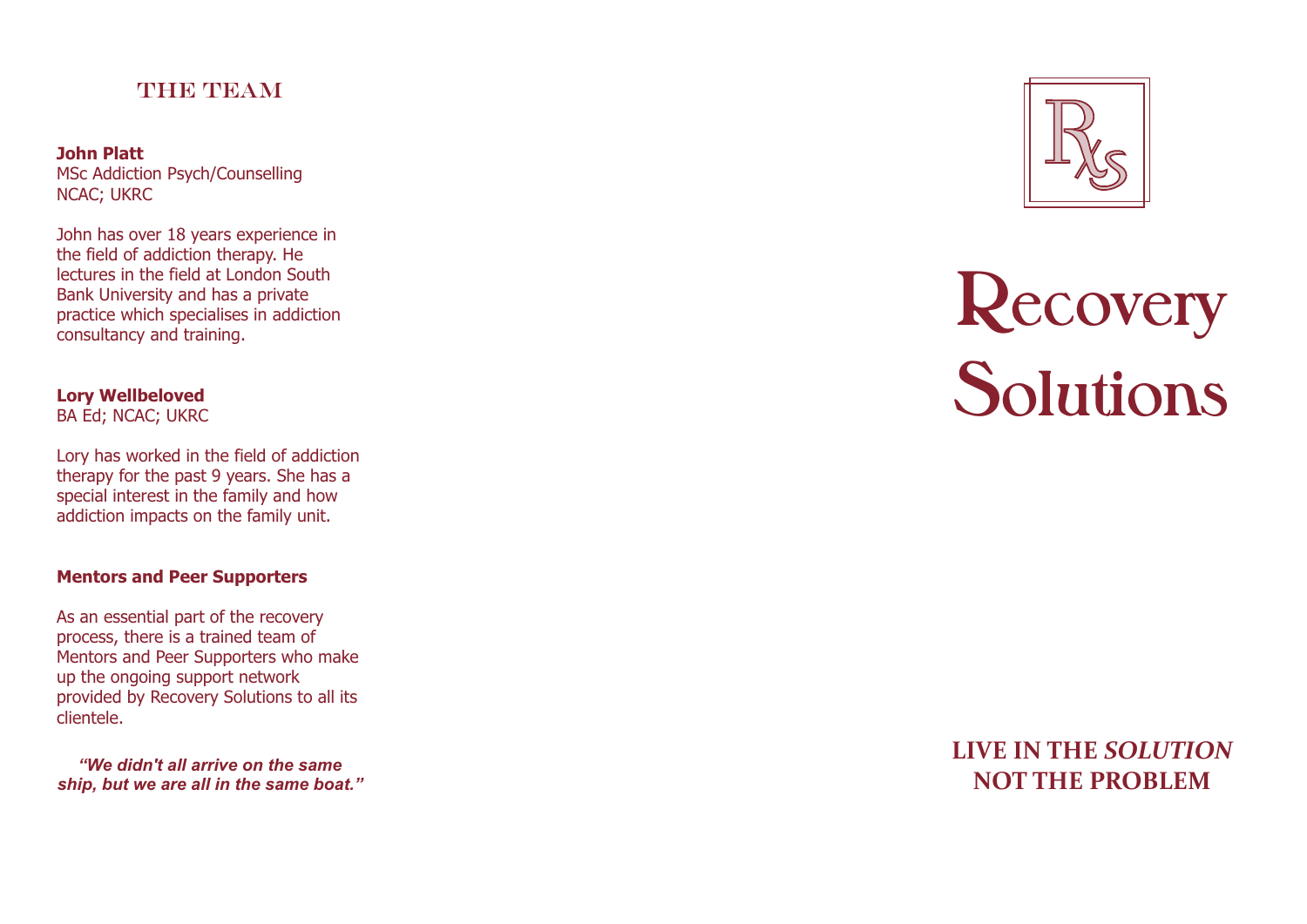### THE TEAM

**John Platt**  MSc Addiction Psych/Counselling NCAC; UKRC

John has over 18 years experience in the field of addiction therapy. He lectures in the field at London South Bank University and has a private practice which specialises in addiction consultancy and training.

**Lory Wellbeloved** BA Ed; NCAC; UKRC

Lory has worked in the field of addiction therapy for the past 9 years. She has a special interest in the family and how addiction impacts on the family unit.

#### **Mentors and Peer Supporters**

As an essential part of the recovery process, there is a trained team of Mentors and Peer Supporters who make up the ongoing support network provided by Recovery Solutions to all its clientele.

*"We didn't all arrive on the same ship, but we are all in the same boat."*



# **Reco very Solutions**

## **LIVE IN THE** *SO LUTIO N* **NO T THE P ROBLEM**